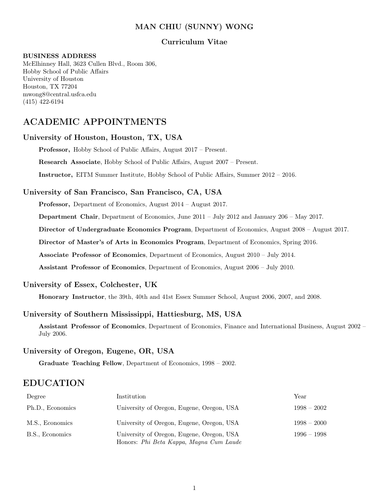# MAN CHIU (SUNNY) WONG

# Curriculum Vitae

#### BUSINESS ADDRESS

McElhinney Hall, 3623 Cullen Blvd., Room 306, Hobby School of Public Affairs University of Houston Houston, TX 77204 mwong8@central.usfca.edu (415) 422-6194

# ACADEMIC APPOINTMENTS

## University of Houston, Houston, TX, USA

Professor, Hobby School of Public Affairs, August 2017 – Present.

Research Associate, Hobby School of Public Affairs, August 2007 – Present.

Instructor, EITM Summer Institute, Hobby School of Public Affairs, Summer 2012 – 2016.

## University of San Francisco, San Francisco, CA, USA

Professor, Department of Economics, August 2014 – August 2017.

Department Chair, Department of Economics, June 2011 – July 2012 and January 206 – May 2017.

Director of Undergraduate Economics Program, Department of Economics, August 2008 – August 2017.

Director of Master's of Arts in Economics Program, Department of Economics, Spring 2016.

Associate Professor of Economics, Department of Economics, August 2010 – July 2014.

Assistant Professor of Economics, Department of Economics, August 2006 – July 2010.

# University of Essex, Colchester, UK

Honorary Instructor, the 39th, 40th and 41st Essex Summer School, August 2006, 2007, and 2008.

## University of Southern Mississippi, Hattiesburg, MS, USA

Assistant Professor of Economics, Department of Economics, Finance and International Business, August 2002 – July 2006.

### University of Oregon, Eugene, OR, USA

Graduate Teaching Fellow, Department of Economics, 1998 – 2002.

# EDUCATION

| Degree           | Institution                                                                          | Year          |
|------------------|--------------------------------------------------------------------------------------|---------------|
| Ph.D., Economics | University of Oregon, Eugene, Oregon, USA                                            | $1998 - 2002$ |
| M.S., Economics  | University of Oregon, Eugene, Oregon, USA                                            | $1998 - 2000$ |
| B.S., Economics  | University of Oregon, Eugene, Oregon, USA<br>Honors: Phi Beta Kappa, Magna Cum Laude | $1996 - 1998$ |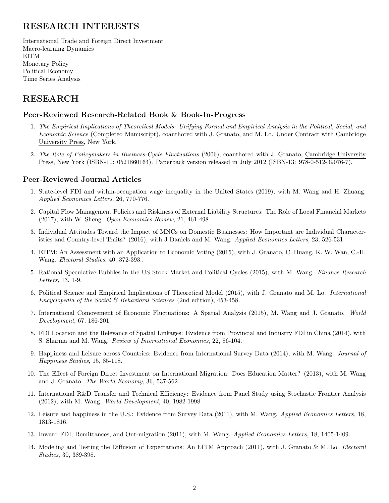# RESEARCH INTERESTS

International Trade and Foreign Direct Investment Macro-learning Dynamics EITM Monetary Policy Political Economy Time Series Analysis

# RESEARCH

## Peer-Reviewed Research-Related Book & Book-In-Progress

- 1. The Empirical Implications of Theoretical Models: Unifying Formal and Empirical Analysis in the Political, Social, and Economic Science (Completed Manuscript), coauthored with J. Granato, and M. Lo. Under Contract with Cambridge University Press, New York.
- 2. The Role of Policymakers in Business-Cycle Fluctuations (2006), coauthored with J. Granato, Cambridge University Press, New York (ISBN-10: 0521860164). Paperback version released in July 2012 (ISBN-13: 978-0-512-39076-7).

# Peer-Reviewed Journal Articles

- 1. State-level FDI and within-occupation wage inequality in the United States (2019), with M. Wang and H. Zhuang. Applied Economics Letters, 26, 770-776.
- 2. Capital Flow Management Policies and Riskiness of External Liability Structures: The Role of Local Financial Markets (2017), with W. Sheng. Open Economies Review, 21, 461-498.
- 3. Individual Attitudes Toward the Impact of MNCs on Domestic Businesses: How Important are Individual Characteristics and Country-level Traits? (2016), with J Daniels and M. Wang. Applied Economics Letters, 23, 526-531.
- 4. EITM: An Assessment with an Application to Economic Voting (2015), with J. Granato, C. Huang, K. W. Wan, C.-H. Wang. Electoral Studies, 40, 372-393..
- 5. Rational Speculative Bubbles in the US Stock Market and Political Cycles (2015), with M. Wang. Finance Research Letters, 13, 1-9.
- 6. Political Science and Empirical Implications of Theoretical Model (2015), with J. Granato and M. Lo. International Encyclopedia of the Social & Behavioral Sciences (2nd edition), 453-458.
- 7. International Comovement of Economic Fluctuations: A Spatial Analysis (2015), M. Wang and J. Granato. World Development, 67, 186-201.
- 8. FDI Location and the Relevance of Spatial Linkages: Evidence from Provincial and Industry FDI in China (2014), with S. Sharma and M. Wang. Review of International Economics, 22, 86-104.
- 9. Happiness and Leisure across Countries: Evidence from International Survey Data (2014), with M. Wang. Journal of Happiness Studies, 15, 85-118.
- 10. The Effect of Foreign Direct Investment on International Migration: Does Education Matter? (2013), with M. Wang and J. Granato. The World Economy, 36, 537-562.
- 11. International R&D Transfer and Technical Efficiency: Evidence from Panel Study using Stochastic Frontier Analysis (2012), with M. Wang. World Development, 40, 1982-1998.
- 12. Leisure and happiness in the U.S.: Evidence from Survey Data (2011), with M. Wang. Applied Economics Letters, 18, 1813-1816.
- 13. Inward FDI, Remittances, and Out-migration (2011), with M. Wang. Applied Economics Letters, 18, 1405-1409.
- 14. Modeling and Testing the Diffusion of Expectations: An EITM Approach (2011), with J. Granato & M. Lo. Electoral Studies, 30, 389-398.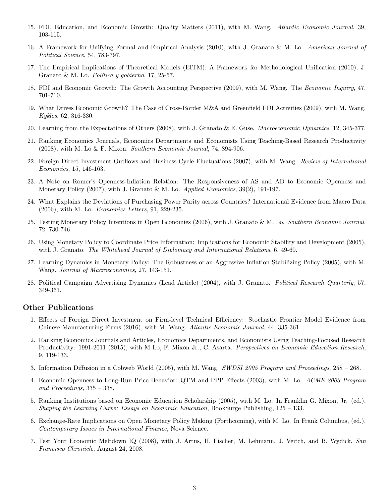- 15. FDI, Education, and Economic Growth: Quality Matters (2011), with M. Wang. Atlantic Economic Journal, 39, 103-115.
- 16. A Framework for Unifying Formal and Empirical Analysis (2010), with J. Granato & M. Lo. American Journal of Political Science, 54, 783-797.
- 17. The Empirical Implications of Theoretical Models (EITM): A Framework for Methodological Unification (2010), J. Granato & M. Lo. *Política y gobierno*, 17, 25-57.
- 18. FDI and Economic Growth: The Growth Accounting Perspective (2009), with M. Wang. The Economic Inquiry, 47, 701-710.
- 19. What Drives Economic Growth? The Case of Cross-Border M&A and Greenfield FDI Activities (2009), with M. Wang. Kyklos, 62, 316-330.
- 20. Learning from the Expectations of Others (2008), with J. Granato & E. Guse. Macroeconomic Dynamics, 12, 345-377.
- 21. Ranking Economics Journals, Economics Departments and Economists Using Teaching-Based Research Productivity (2008), with M. Lo & F. Mixon. Southern Economic Journal, 74, 894-906.
- 22. Foreign Direct Investment Outflows and Business-Cycle Fluctuations (2007), with M. Wang. Review of International Economics, 15, 146-163.
- 23. A Note on Romer's Openness-Inflation Relation: The Responsiveness of AS and AD to Economic Openness and Monetary Policy  $(2007)$ , with J. Granato & M. Lo. *Applied Economics*,  $39(2)$ , 191-197.
- 24. What Explains the Deviations of Purchasing Power Parity across Countries? International Evidence from Macro Data (2006), with M. Lo. Economics Letters, 91, 229-235.
- 25. Testing Monetary Policy Intentions in Open Economies (2006), with J. Granato & M. Lo. Southern Economic Journal, 72, 730-746.
- 26. Using Monetary Policy to Coordinate Price Information: Implications for Economic Stability and Development (2005), with J. Granato. The Whitehead Journal of Diplomacy and International Relations, 6, 49-60.
- 27. Learning Dynamics in Monetary Policy: The Robustness of an Aggressive Inflation Stabilizing Policy (2005), with M. Wang. Journal of Macroeconomics, 27, 143-151.
- 28. Political Campaign Advertising Dynamics (Lead Article) (2004), with J. Granato. Political Research Quarterly, 57, 349-361.

#### Other Publications

- 1. Effects of Foreign Direct Investment on Firm-level Technical Efficiency: Stochastic Frontier Model Evidence from Chinese Manufacturing Firms (2016), with M. Wang. Atlantic Economic Journal, 44, 335-361.
- 2. Ranking Economics Journals and Articles, Economics Departments, and Economists Using Teaching-Focused Research Productivity: 1991-2011 (2015), with M Lo, F. Mixon Jr., C. Asarta. Perspectives on Economic Education Research, 9, 119-133.
- 3. Information Diffusion in a Cobweb World (2005), with M. Wang. SWDSI 2005 Program and Proceedings, 258 268.
- 4. Economic Openness to Long-Run Price Behavior: QTM and PPP Effects (2003), with M. Lo. ACME 2003 Program and Proceedings,  $335 - 338$ .
- 5. Ranking Institutions based on Economic Education Scholarship (2005), with M. Lo. In Franklin G. Mixon, Jr. (ed.), Shaping the Learning Curve: Essays on Economic Education, BookSurge Publishing, 125 – 133.
- 6. Exchange-Rate Implications on Open Monetary Policy Making (Forthcoming), with M. Lo. In Frank Columbus, (ed.), Contemporary Issues in International Finance, Nova Science.
- 7. Test Your Economic Meltdown IQ (2008), with J. Artus, H. Fischer, M. Lehmann, J. Veitch, and B. Wydick, San Francisco Chronicle, August 24, 2008.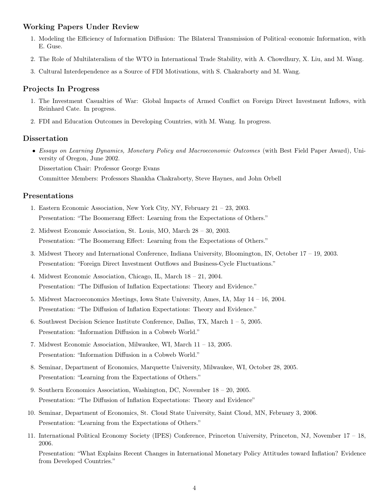# Working Papers Under Review

- 1. Modeling the Efficiency of Information Diffusion: The Bilateral Transmission of Political–economic Information, with E. Guse.
- 2. The Role of Multilateralism of the WTO in International Trade Stability, with A. Chowdhury, X. Liu, and M. Wang.
- 3. Cultural Interdependence as a Source of FDI Motivations, with S. Chakraborty and M. Wang.

#### Projects In Progress

- 1. The Investment Casualties of War: Global Impacts of Armed Conflict on Foreign Direct Investment Inflows, with Reinhard Cate. In progress.
- 2. FDI and Education Outcomes in Developing Countries, with M. Wang. In progress.

#### Dissertation

• Essays on Learning Dynamics, Monetary Policy and Macroeconomic Outcomes (with Best Field Paper Award), University of Oregon, June 2002.

Dissertation Chair: Professor George Evans

Committee Members: Professors Shankha Chakraborty, Steve Haynes, and John Orbell

#### Presentations

- 1. Eastern Economic Association, New York City, NY, February 21 23, 2003. Presentation: "The Boomerang Effect: Learning from the Expectations of Others."
- 2. Midwest Economic Association, St. Louis, MO, March 28 30, 2003. Presentation: "The Boomerang Effect: Learning from the Expectations of Others."
- 3. Midwest Theory and International Conference, Indiana University, Bloomington, IN, October 17 19, 2003. Presentation: "Foreign Direct Investment Outflows and Business-Cycle Fluctuations."
- 4. Midwest Economic Association, Chicago, IL, March 18 21, 2004. Presentation: "The Diffusion of Inflation Expectations: Theory and Evidence."
- 5. Midwest Macroeconomics Meetings, Iowa State University, Ames, IA, May 14 16, 2004. Presentation: "The Diffusion of Inflation Expectations: Theory and Evidence."
- 6. Southwest Decision Science Institute Conference, Dallas, TX, March 1 5, 2005. Presentation: "Information Diffusion in a Cobweb World."
- 7. Midwest Economic Association, Milwaukee, WI, March 11 13, 2005. Presentation: "Information Diffusion in a Cobweb World."
- 8. Seminar, Department of Economics, Marquette University, Milwaukee, WI, October 28, 2005. Presentation: "Learning from the Expectations of Others."
- 9. Southern Economics Association, Washington, DC, November 18 20, 2005. Presentation: "The Diffusion of Inflation Expectations: Theory and Evidence"
- 10. Seminar, Department of Economics, St. Cloud State University, Saint Cloud, MN, February 3, 2006. Presentation: "Learning from the Expectations of Others."
- 11. International Political Economy Society (IPES) Conference, Princeton University, Princeton, NJ, November 17 18, 2006.

Presentation: "What Explains Recent Changes in International Monetary Policy Attitudes toward Inflation? Evidence from Developed Countries."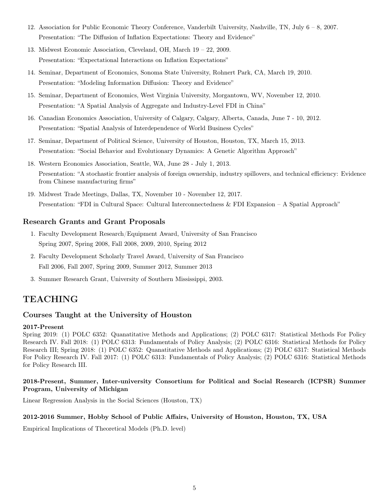- 12. Association for Public Economic Theory Conference, Vanderbilt University, Nashville, TN, July 6 8, 2007. Presentation: "The Diffusion of Inflation Expectations: Theory and Evidence"
- 13. Midwest Economic Association, Cleveland, OH, March 19 22, 2009. Presentation: "Expectational Interactions on Inflation Expectations"
- 14. Seminar, Department of Economics, Sonoma State University, Rohnert Park, CA, March 19, 2010. Presentation: "Modeling Information Diffusion: Theory and Evidence"
- 15. Seminar, Department of Economics, West Virginia University, Morgantown, WV, November 12, 2010. Presentation: "A Spatial Analysis of Aggregate and Industry-Level FDI in China"
- 16. Canadian Economics Association, University of Calgary, Calgary, Alberta, Canada, June 7 10, 2012. Presentation: "Spatial Analysis of Interdependence of World Business Cycles"
- 17. Seminar, Department of Political Science, University of Houston, Houston, TX, March 15, 2013. Presentation: "Social Behavior and Evolutionary Dynamics: A Genetic Algorithm Approach"
- 18. Western Economics Association, Seattle, WA, June 28 July 1, 2013. Presentation: "A stochastic frontier analysis of foreign ownership, industry spillovers, and technical efficiency: Evidence from Chinese manufacturing firms"
- 19. Midwest Trade Meetings, Dallas, TX, November 10 November 12, 2017. Presentation: "FDI in Cultural Space: Cultural Interconnectedness & FDI Expansion – A Spatial Approach"

# Research Grants and Grant Proposals

- 1. Faculty Development Research/Equipment Award, University of San Francisco Spring 2007, Spring 2008, Fall 2008, 2009, 2010, Spring 2012
- 2. Faculty Development Scholarly Travel Award, University of San Francisco Fall 2006, Fall 2007, Spring 2009, Summer 2012, Summer 2013
- 3. Summer Research Grant, University of Southern Mississippi, 2003.

# TEACHING

### Courses Taught at the University of Houston

#### 2017-Present

Spring 2019: (1) POLC 6352: Quanatitative Methods and Applications; (2) POLC 6317: Statistical Methods For Policy Research IV. Fall 2018: (1) POLC 6313: Fundamentals of Policy Analysis; (2) POLC 6316: Statistical Methods for Policy Research III; Spring 2018: (1) POLC 6352: Quanatitative Methods and Applications; (2) POLC 6317: Statistical Methods For Policy Research IV. Fall 2017: (1) POLC 6313: Fundamentals of Policy Analysis; (2) POLC 6316: Statistical Methods for Policy Research III.

### 2018-Present, Summer, Inter-university Consortium for Political and Social Research (ICPSR) Summer Program, University of Michigan

Linear Regression Analysis in the Social Sciences (Houston, TX)

### 2012-2016 Summer, Hobby School of Public Affairs, University of Houston, Houston, TX, USA

Empirical Implications of Theoretical Models (Ph.D. level)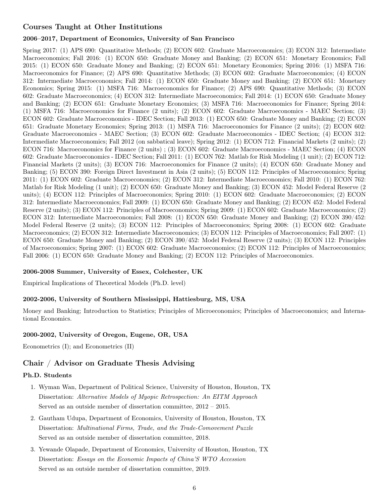# Courses Taught at Other Institutions

### 2006–2017, Department of Economics, University of San Francisco

Spring 2017: (1) APS 690: Quantitative Methods; (2) ECON 602: Graduate Macroeconomics; (3) ECON 312: Intermediate Macroeconomics; Fall 2016: (1) ECON 650: Graduate Money and Banking; (2) ECON 651: Monetary Economics; Fall 2015: (1) ECON 650: Graduate Money and Banking; (2) ECON 651: Monetary Economics; Spring 2016: (1) MSFA 716: Macroeconomics for Finance; (2) APS 690: Quantitative Methods; (3) ECON 602: Graduate Macroeconomics; (4) ECON 312: Intermediate Macroeconomics; Fall 2014: (1) ECON 650: Graduate Money and Banking; (2) ECON 651: Monetary Economics; Spring 2015: (1) MSFA 716: Macroeconomics for Finance; (2) APS 690: Quantitative Methods; (3) ECON 602: Graduate Macroeconomics; (4) ECON 312: Intermediate Macroeconomics; Fall 2014: (1) ECON 650: Graduate Money and Banking; (2) ECON 651: Graduate Monetary Economics; (3) MSFA 716: Macroeconomics for Finance; Spring 2014: (1) MSFA 716: Macroeconomics for Finance (2 units); (2) ECON 602: Graduate Macroeconomics - MAEC Section; (3) ECON 602: Graduate Macroeconomics - IDEC Section; Fall 2013: (1) ECON 650: Graduate Money and Banking; (2) ECON 651: Graduate Monetary Economics; Spring 2013: (1) MSFA 716: Macroeconomics for Finance (2 units); (2) ECON 602: Graduate Macroeconomics - MAEC Section; (3) ECON 602: Graduate Macroeconomics - IDEC Section; (4) ECON 312: Intermediate Macroeconomics; Fall 2012 (on sabbatical leave); Spring 2012: (1) ECON 712: Financial Markets (2 units); (2) ECON 716: Macroeconomics for Finance (2 units) ; (3) ECON 602: Graduate Macroeconomics - MAEC Section; (4) ECON 602: Graduate Macroeconomics - IDEC Section; Fall 2011: (1) ECON 762: Matlab for Risk Modeling (1 unit); (2) ECON 712: Financial Markets (2 units); (3) ECON 716: Macroeconomics for Finance (2 units); (4) ECON 650: Graduate Money and Banking; (5) ECON 390: Foreign Direct Investment in Asia (2 units); (5) ECON 112: Principles of Macroeconomics; Spring 2011: (1) ECON 602: Graduate Macroeconomics; (2) ECON 312: Intermediate Macroeconomics; Fall 2010: (1) ECON 762: Matlab for Risk Modeling (1 unit); (2) ECON 650: Graduate Money and Banking; (3) ECON 452: Model Federal Reserve (2 units); (4) ECON 112: Principles of Macroeconomics; Spring 2010: (1) ECON 602: Graduate Macroeconomics; (2) ECON 312: Intermediate Macroeconomics; Fall 2009: (1) ECON 650: Graduate Money and Banking; (2) ECON 452: Model Federal Reserve (2 units); (3) ECON 112: Principles of Macroeconomics; Spring 2009: (1) ECON 602: Graduate Macroeconomics; (2) ECON 312: Intermediate Macroeconomics; Fall 2008: (1) ECON 650: Graduate Money and Banking; (2) ECON 390/452: Model Federal Reserve (2 units); (3) ECON 112: Principles of Macroeconomics; Spring 2008: (1) ECON 602: Graduate Macroeconomics; (2) ECON 312: Intermediate Macroeconomics; (3) ECON 112: Principles of Macroeconomics; Fall 2007: (1) ECON 650: Graduate Money and Banking; (2) ECON 390/452: Model Federal Reserve (2 units); (3) ECON 112: Principles of Macroeconomics; Spring 2007: (1) ECON 602: Graduate Macroeconomics; (2) ECON 112: Principles of Macroeconomics; Fall 2006: (1) ECON 650: Graduate Money and Banking; (2) ECON 112: Principles of Macroeconomics.

### 2006-2008 Summer, University of Essex, Colchester, UK

Empirical Implications of Theoretical Models (Ph.D. level)

### 2002-2006, University of Southern Mississippi, Hattiesburg, MS, USA

Money and Banking; Introduction to Statistics; Principles of Microeconomics; Principles of Macroeconomics; and International Economics.

#### 2000-2002, University of Oregon, Eugene, OR, USA

Econometrics (I); and Econometrics (II)

# Chair / Advisor on Graduate Thesis Advising

#### Ph.D. Students

- 1. Wyman Wan, Department of Political Science, University of Houston, Houston, TX Dissertation: Alternative Models of Myopic Retrospection: An EITM Approach Served as an outside member of dissertation committee, 2012 – 2015.
- 2. Gautham Udupa, Department of Economics, University of Houston, Houston, TX Dissertation: Multinational Firms, Trade, and the Trade-Comovement Puzzle Served as an outside member of dissertation committee, 2018.
- 3. Yewande Olapade, Department of Economics, University of Houston, Houston, TX Dissertation: Essays on the Economic Impacts of China'S WTO Accession Served as an outside member of dissertation committee, 2019.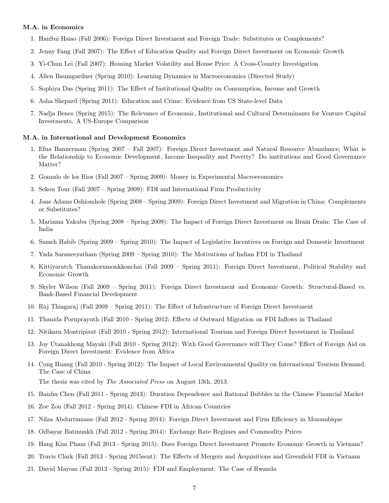#### M.A. in Economics

- 1. HanSui Hsiao (Fall 2006): Foreign Direct Investment and Foreign Trade: Substitutes or Complements?
- 2. Jenny Fang (Fall 2007): The Effect of Education Quality and Foreign Direct Investment on Economic Growth
- 3. Yi-Chun Lei (Fall 2007): Housing Market Volatility and House Price: A Cross-Country Investigation
- 4. Allen Baumgardner (Spring 2010): Learning Dynamics in Macroeconomics (Directed Study)
- 5. Sophiya Das (Spring 2011): The Effect of Institutional Quality on Consumption, Income and Growth
- 6. Asha Shepard (Spring 2011): Education and Crime: Evidence from US State-level Data
- 7. Nadja Benes (Spring 2015): The Relevance of Economic, Institutional and Cultural Determinants for Venture Capital Investments. A US-Europe Comparison

#### M.A. in International and Development Economics

- 1. Efua Bannerman (Spring 2007 Fall 2007): Foreign Direct Investment and Natural Resource Abundance; What is the Relationship to Economic Development, Income Inequality and Poverty? Do institutions and Good Governance Matter?
- 2. Gonzalo de los Rios (Fall 2007 Spring 2009): Money in Experimental Macroeconomics
- 3. Sekou Tour (Fall 2007 Spring 2009): FDI and International Firm Productivity
- 4. Jane Adams Oshiomhole (Spring 2008 Spring 2009): Foreign Direct Investment and Migration in China: Complements or Substitutes?
- 5. Mariama Yakubu (Spring 2008 Spring 2009): The Impact of Foreign Direct Investment on Brain Drain: The Case of India
- 6. Sameh Habib (Spring 2009 Spring 2010): The Impact of Legislative Incentives on Foreign and Domestic Investment
- 7. Yada Saraneeyatham (Spring 2009 Spring 2010): The Motivations of Indian FDI in Thailand
- 8. Kittiyaratch Thanakornmonkkonchai (Fall 2009 Spring 2011): Foreign Direct Investment, Political Stability and Economic Growth
- 9. Skyler Wilson (Fall 2009 Spring 2011): Foreign Direct Investment and Economic Growth: Structural-Based vs. Bank-Based Financial Development
- 10. Raj Thiagaraj (Fall 2009 Spring 2011): The Effect of Infrastructure of Foreign Direct Investment
- 11. Thanida Pornprayuth (Fall 2010 Spring 2012: Effects of Outward Migration on FDI Inflows in Thailand
- 12. Nitikarn Montripisut (Fall 2010 Spring 2012): International Tourism and Foreign Direct Investment in Thailand
- 13. Joy Utanakhong Mayaki (Fall 2010 Spring 2012): With Good Governance will They Come? Effect of Foreign Aid on Foreign Direct Investment: Evidence from Africa
- 14. Cong Huang (Fall 2010 Spring 2012): The Impact of Local Environmental Quality on International Tourism Demand: The Case of China

The thesis was cited by The Associated Press on August 13th, 2013.

- 15. Baizhu Chen (Fall 2011 Spring 2013): Duration Dependence and Rational Bubbles in the Chinese Financial Market
- 16. Zoe Zou (Fall 2012 Spring 2014): Chinese FDI in African Countries
- 17. Nilza Abdurramane (Fall 2012 Spring 2014): Foreign Direct Investment and Firm Efficiency in Mozambique
- 18. Odbayar Batmunkh (Fall 2012 Spring 2014): Exchange Rate Regimes and Commodity Prices
- 19. Hang Kim Pham (Fall 2013 Spring 2015): Does Foreign Direct Investment Promote Economic Growth in Vietnam?
- 20. Travis Clark (Fall 2013 Spring 2015sent): The Effects of Mergers and Acquisitions and Greenfield FDI in Vietnam
- 21. David Mayom (Fall 2013 Spring 2015): FDI and Employment: The Case of Rwanda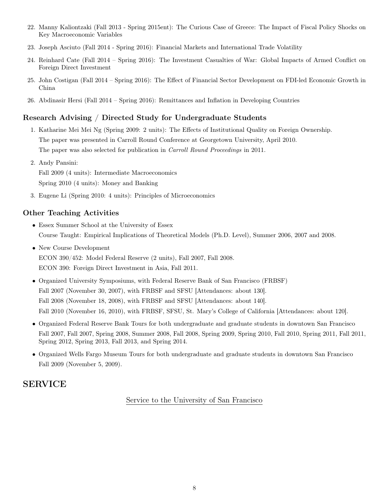- 22. Manny Kaliontzaki (Fall 2013 Spring 2015ent): The Curious Case of Greece: The Impact of Fiscal Policy Shocks on Key Macroeconomic Variables
- 23. Joseph Asciuto (Fall 2014 Spring 2016): Financial Markets and International Trade Volatility
- 24. Reinhard Cate (Fall 2014 Spring 2016): The Investment Casualties of War: Global Impacts of Armed Conflict on Foreign Direct Investment
- 25. John Costigan (Fall 2014 Spring 2016): The Effect of Financial Sector Development on FDI-led Economic Growth in China
- 26. Abdinasir Hersi (Fall 2014 Spring 2016): Remittances and Inflation in Developing Countries

# Research Advising / Directed Study for Undergraduate Students

- 1. Katharine Mei Mei Ng (Spring 2009: 2 units): The Effects of Institutional Quality on Foreign Ownership. The paper was presented in Carroll Round Conference at Georgetown University, April 2010. The paper was also selected for publication in Carroll Round Proceedings in 2011.
- 2. Andy Pansini: Fall 2009 (4 units): Intermediate Macroeconomics Spring 2010 (4 units): Money and Banking
- 3. Eugene Li (Spring 2010: 4 units): Principles of Microeconomics

# Other Teaching Activities

- Essex Summer School at the University of Essex Course Taught: Empirical Implications of Theoretical Models (Ph.D. Level), Summer 2006, 2007 and 2008.
- New Course Development ECON 390/452: Model Federal Reserve (2 units), Fall 2007, Fall 2008. ECON 390: Foreign Direct Investment in Asia, Fall 2011.
- Organized University Symposiums, with Federal Reserve Bank of San Francisco (FRBSF) Fall 2007 (November 30, 2007), with FRBSF and SFSU [Attendances: about 130]. Fall 2008 (November 18, 2008), with FRBSF and SFSU [Attendances: about 140]. Fall 2010 (November 16, 2010), with FRBSF, SFSU, St. Mary's College of California [Attendances: about 120].
- Organized Federal Reserve Bank Tours for both undergraduate and graduate students in downtown San Francisco Fall 2007, Fall 2007, Spring 2008, Summer 2008, Fall 2008, Spring 2009, Spring 2010, Fall 2010, Spring 2011, Fall 2011, Spring 2012, Spring 2013, Fall 2013, and Spring 2014.
- Organized Wells Fargo Museum Tours for both undergraduate and graduate students in downtown San Francisco Fall 2009 (November 5, 2009).

# SERVICE

Service to the University of San Francisco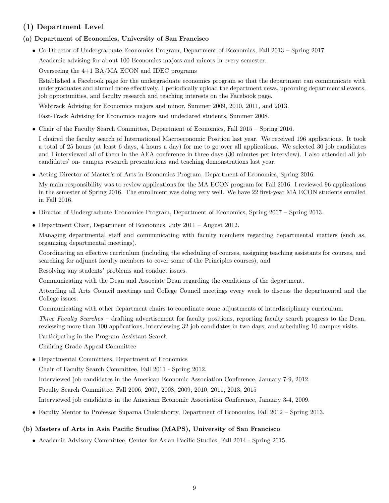# (1) Department Level

# (a) Department of Economics, University of San Francisco

• Co-Director of Undergraduate Economics Program, Department of Economics, Fall 2013 – Spring 2017.

Academic advising for about 100 Economics majors and minors in every semester.

Overseeing the 4+1 BA/MA ECON and IDEC programs

Established a Facebook page for the undergraduate economics program so that the department can communicate with undergraduates and alumni more effectively. I periodically upload the department news, upcoming departmental events, job opportunities, and faculty research and teaching interests on the Facebook page.

Webtrack Advising for Economics majors and minor, Summer 2009, 2010, 2011, and 2013.

Fast-Track Advising for Economics majors and undeclared students, Summer 2008.

• Chair of the Faculty Search Committee, Department of Economics, Fall 2015 – Spring 2016.

I chaired the faculty search of International Macroeconomic Position last year. We received 196 applications. It took a total of 25 hours (at least 6 days, 4 hours a day) for me to go over all applications. We selected 30 job candidates and I interviewed all of them in the AEA conference in three days (30 minutes per interview). I also attended all job candidates' on- campus research presentations and teaching demonstrations last year.

• Acting Director of Master's of Arts in Economics Program, Department of Economics, Spring 2016.

My main responsibility was to review applications for the MA ECON program for Fall 2016. I reviewed 96 applications in the semester of Spring 2016. The enrollment was doing very well. We have 22 first-year MA ECON students enrolled in Fall 2016.

- Director of Undergraduate Economics Program, Department of Economics, Spring 2007 Spring 2013.
- Department Chair, Department of Economics, July 2011 August 2012.

Managing departmental staff and communicating with faculty members regarding departmental matters (such as, organizing departmental meetings).

Coordinating an effective curriculum (including the scheduling of courses, assigning teaching assistants for courses, and searching for adjunct faculty members to cover some of the Principles courses), and

Resolving any students' problems and conduct issues.

Communicating with the Dean and Associate Dean regarding the conditions of the department.

Attending all Arts Council meetings and College Council meetings every week to discuss the departmental and the College issues.

Communicating with other department chairs to coordinate some adjustments of interdisciplinary curriculum.

Three Faculty Searches – drafting advertisement for faculty positions, reporting faculty search progress to the Dean, reviewing more than 100 applications, interviewing 32 job candidates in two days, and scheduling 10 campus visits.

Participating in the Program Assistant Search

Chairing Grade Appeal Committee

• Departmental Committees, Department of Economics

Chair of Faculty Search Committee, Fall 2011 - Spring 2012.

Interviewed job candidates in the American Economic Association Conference, January 7-9, 2012.

Faculty Search Committee, Fall 2006, 2007, 2008, 2009, 2010, 2011, 2013, 2015

Interviewed job candidates in the American Economic Association Conference, January 3-4, 2009.

• Faculty Mentor to Professor Suparna Chakraborty, Department of Economics, Fall 2012 – Spring 2013.

# (b) Masters of Arts in Asia Pacific Studies (MAPS), University of San Francisco

• Academic Advisory Committee, Center for Asian Pacific Studies, Fall 2014 - Spring 2015.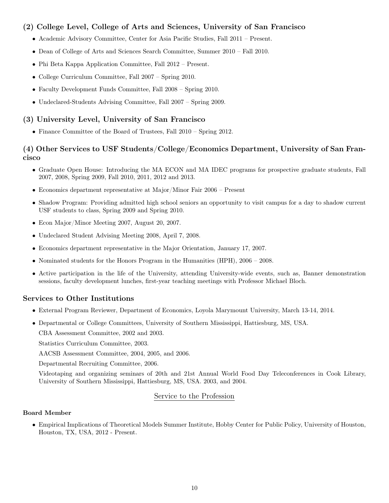# (2) College Level, College of Arts and Sciences, University of San Francisco

- Academic Advisory Committee, Center for Asia Pacific Studies, Fall 2011 Present.
- Dean of College of Arts and Sciences Search Committee, Summer 2010 Fall 2010.
- Phi Beta Kappa Application Committee, Fall 2012 Present.
- College Curriculum Committee, Fall 2007 Spring 2010.
- Faculty Development Funds Committee, Fall 2008 Spring 2010.
- Undeclared-Students Advising Committee, Fall 2007 Spring 2009.

# (3) University Level, University of San Francisco

• Finance Committee of the Board of Trustees, Fall 2010 – Spring 2012.

# (4) Other Services to USF Students/College/Economics Department, University of San Francisco

- Graduate Open House: Introducing the MA ECON and MA IDEC programs for prospective graduate students, Fall 2007, 2008, Spring 2009, Fall 2010, 2011, 2012 and 2013.
- Economics department representative at Major/Minor Fair 2006 Present
- Shadow Program: Providing admitted high school seniors an opportunity to visit campus for a day to shadow current USF students to class, Spring 2009 and Spring 2010.
- Econ Major/Minor Meeting 2007, August 20, 2007.
- Undeclared Student Advising Meeting 2008, April 7, 2008.
- Economics department representative in the Major Orientation, January 17, 2007.
- Nominated students for the Honors Program in the Humanities (HPH), 2006 2008.
- Active participation in the life of the University, attending University-wide events, such as, Banner demonstration sessions, faculty development lunches, first-year teaching meetings with Professor Michael Bloch.

# Services to Other Institutions

- External Program Reviewer, Department of Economics, Loyola Marymount University, March 13-14, 2014.
- Departmental or College Committees, University of Southern Mississippi, Hattiesburg, MS, USA. CBA Assessment Committee, 2002 and 2003.

Statistics Curriculum Committee, 2003.

AACSB Assessment Committee, 2004, 2005, and 2006.

Departmental Recruiting Committee, 2006.

Videotaping and organizing seminars of 20th and 21st Annual World Food Day Teleconferences in Cook Library, University of Southern Mississippi, Hattiesburg, MS, USA. 2003, and 2004.

# Service to the Profession

### Board Member

• Empirical Implications of Theoretical Models Summer Institute, Hobby Center for Public Policy, University of Houston, Houston, TX, USA, 2012 - Present.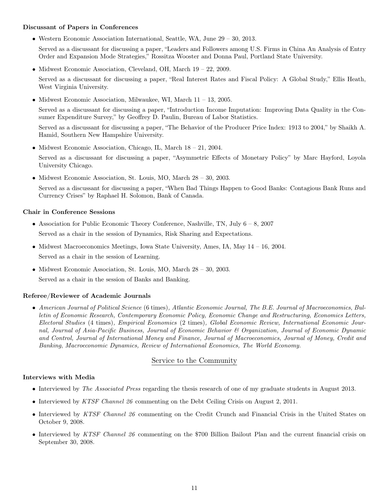#### Discussant of Papers in Conferences

• Western Economic Association International, Seattle, WA, June 29 – 30, 2013.

Served as a discussant for discussing a paper, "Leaders and Followers among U.S. Firms in China An Analysis of Entry Order and Expansion Mode Strategies," Rossitza Wooster and Donna Paul, Portland State University.

• Midwest Economic Association, Cleveland, OH, March 19 – 22, 2009.

Served as a discussant for discussing a paper, "Real Interest Rates and Fiscal Policy: A Global Study," Ellis Heath, West Virginia University.

• Midwest Economic Association, Milwaukee, WI, March 11 – 13, 2005.

Served as a discussant for discussing a paper, "Introduction Income Imputation: Improving Data Quality in the Consumer Expenditure Survey," by Geoffrey D. Paulin, Bureau of Labor Statistics.

Served as a discussant for discussing a paper, "The Behavior of the Producer Price Index: 1913 to 2004," by Shaikh A. Hamid, Southern New Hampshire University.

• Midwest Economic Association, Chicago, IL, March 18 – 21, 2004.

Served as a discussant for discussing a paper, "Asymmetric Effects of Monetary Policy" by Marc Hayford, Loyola University Chicago.

• Midwest Economic Association, St. Louis, MO, March 28 – 30, 2003.

Served as a discussant for discussing a paper, "When Bad Things Happen to Good Banks: Contagious Bank Runs and Currency Crises" by Raphael H. Solomon, Bank of Canada.

#### Chair in Conference Sessions

- Association for Public Economic Theory Conference, Nashville, TN, July  $6 8$ , 2007 Served as a chair in the session of Dynamics, Risk Sharing and Expectations.
- Midwest Macroeconomics Meetings, Iowa State University, Ames, IA, May  $14 16$ , 2004. Served as a chair in the session of Learning.
- Midwest Economic Association, St. Louis, MO, March 28 30, 2003. Served as a chair in the session of Banks and Banking.

### Referee/Reviewer of Academic Journals

• American Journal of Political Science (6 times), Atlantic Economic Journal, The B.E. Journal of Macroeconomics, Bulletin of Economic Research, Contemporary Economic Policy, Economic Change and Restructuring, Economics Letters, Electoral Studies (4 times), Empirical Economics (2 times), Global Economic Review, International Economic Journal, Journal of Asia-Pacific Business, Journal of Economic Behavior & Organization, Journal of Economic Dynamic and Control, Journal of International Money and Finance, Journal of Macroeconomics, Journal of Money, Credit and Banking, Macroeconomic Dynamics, Review of International Economics, The World Economy.

### Service to the Community

#### Interviews with Media

- Interviewed by *The Associated Press* regarding the thesis research of one of my graduate students in August 2013.
- Interviewed by KTSF Channel 26 commenting on the Debt Ceiling Crisis on August 2, 2011.
- Interviewed by KTSF Channel 26 commenting on the Credit Crunch and Financial Crisis in the United States on October 9, 2008.
- Interviewed by KTSF Channel 26 commenting on the \$700 Billion Bailout Plan and the current financial crisis on September 30, 2008.